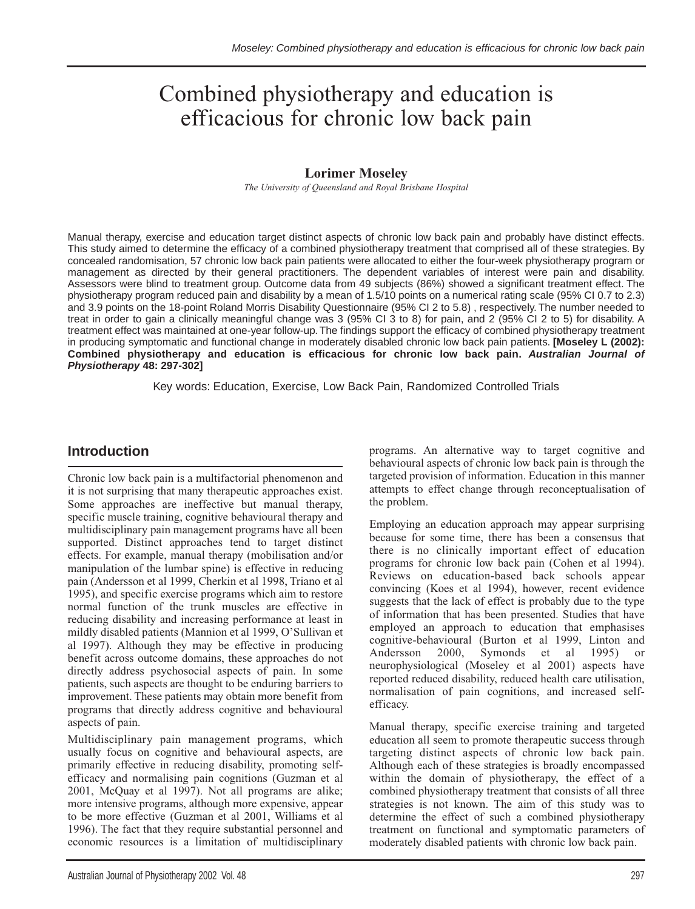# Combined physiotherapy and education is efficacious for chronic low back pain

### **Lorimer Moseley**

*The University of Queensland and Royal Brisbane Hospital*

Manual therapy, exercise and education target distinct aspects of chronic low back pain and probably have distinct effects. This study aimed to determine the efficacy of a combined physiotherapy treatment that comprised all of these strategies. By concealed randomisation, 57 chronic low back pain patients were allocated to either the four-week physiotherapy program or management as directed by their general practitioners. The dependent variables of interest were pain and disability. Assessors were blind to treatment group. Outcome data from 49 subjects (86%) showed a significant treatment effect. The physiotherapy program reduced pain and disability by a mean of 1.5/10 points on a numerical rating scale (95% CI 0.7 to 2.3) and 3.9 points on the 18-point Roland Morris Disability Questionnaire (95% CI 2 to 5.8) , respectively. The number needed to treat in order to gain a clinically meaningful change was 3 (95% CI 3 to 8) for pain, and 2 (95% CI 2 to 5) for disability. A treatment effect was maintained at one-year follow-up. The findings support the efficacy of combined physiotherapy treatment in producing symptomatic and functional change in moderately disabled chronic low back pain patients. **[Moseley L (2002): Combined physiotherapy and education is efficacious for chronic low back pain. Australian Journal of Physiotherapy 48: 297-302]**

Key words: Education, Exercise, Low Back Pain, Randomized Controlled Trials

## **Introduction**

Chronic low back pain is a multifactorial phenomenon and it is not surprising that many therapeutic approaches exist. Some approaches are ineffective but manual therapy, specific muscle training, cognitive behavioural therapy and multidisciplinary pain management programs have all been supported. Distinct approaches tend to target distinct effects. For example, manual therapy (mobilisation and/or manipulation of the lumbar spine) is effective in reducing pain (Andersson et al 1999, Cherkin et al 1998, Triano et al 1995), and specific exercise programs which aim to restore normal function of the trunk muscles are effective in reducing disability and increasing performance at least in mildly disabled patients (Mannion et al 1999, O'Sullivan et al 1997). Although they may be effective in producing benefit across outcome domains, these approaches do not directly address psychosocial aspects of pain. In some patients, such aspects are thought to be enduring barriers to improvement. These patients may obtain more benefit from programs that directly address cognitive and behavioural aspects of pain.

Multidisciplinary pain management programs, which usually focus on cognitive and behavioural aspects, are primarily effective in reducing disability, promoting selfefficacy and normalising pain cognitions (Guzman et al 2001, McQuay et al 1997). Not all programs are alike; more intensive programs, although more expensive, appear to be more effective (Guzman et al 2001, Williams et al 1996). The fact that they require substantial personnel and economic resources is a limitation of multidisciplinary

programs. An alternative way to target cognitive and behavioural aspects of chronic low back pain is through the targeted provision of information. Education in this manner attempts to effect change through reconceptualisation of the problem.

Employing an education approach may appear surprising because for some time, there has been a consensus that there is no clinically important effect of education programs for chronic low back pain (Cohen et al 1994). Reviews on education-based back schools appear convincing (Koes et al 1994), however, recent evidence suggests that the lack of effect is probably due to the type of information that has been presented. Studies that have employed an approach to education that emphasises cognitive-behavioural (Burton et al 1999, Linton and Andersson 2000, Symonds et al 1995) or neurophysiological (Moseley et al 2001) aspects have reported reduced disability, reduced health care utilisation, normalisation of pain cognitions, and increased selfefficacy.

Manual therapy, specific exercise training and targeted education all seem to promote therapeutic success through targeting distinct aspects of chronic low back pain. Although each of these strategies is broadly encompassed within the domain of physiotherapy, the effect of a combined physiotherapy treatment that consists of all three strategies is not known. The aim of this study was to determine the effect of such a combined physiotherapy treatment on functional and symptomatic parameters of moderately disabled patients with chronic low back pain.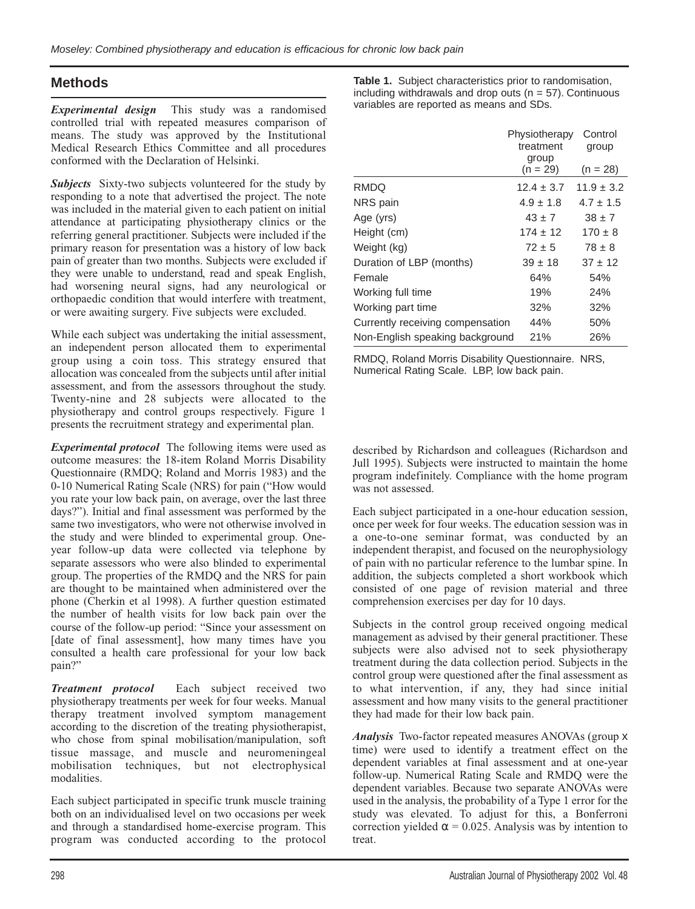# **Methods**

*Experimental design* This study was a randomised controlled trial with repeated measures comparison of means. The study was approved by the Institutional Medical Research Ethics Committee and all procedures conformed with the Declaration of Helsinki.

*Subjects* Sixty-two subjects volunteered for the study by responding to a note that advertised the project. The note was included in the material given to each patient on initial attendance at participating physiotherapy clinics or the referring general practitioner. Subjects were included if the primary reason for presentation was a history of low back pain of greater than two months. Subjects were excluded if they were unable to understand, read and speak English, had worsening neural signs, had any neurological or orthopaedic condition that would interfere with treatment, or were awaiting surgery. Five subjects were excluded.

While each subject was undertaking the initial assessment, an independent person allocated them to experimental group using a coin toss. This strategy ensured that allocation was concealed from the subjects until after initial assessment, and from the assessors throughout the study. Twenty-nine and 28 subjects were allocated to the physiotherapy and control groups respectively. Figure 1 presents the recruitment strategy and experimental plan.

*Experimental protocol* The following items were used as outcome measures: the 18-item Roland Morris Disability Questionnaire (RMDQ; Roland and Morris 1983) and the 0-10 Numerical Rating Scale (NRS) for pain ("How would you rate your low back pain, on average, over the last three days?"). Initial and final assessment was performed by the same two investigators, who were not otherwise involved in the study and were blinded to experimental group. Oneyear follow-up data were collected via telephone by separate assessors who were also blinded to experimental group. The properties of the RMDQ and the NRS for pain are thought to be maintained when administered over the phone (Cherkin et al 1998). A further question estimated the number of health visits for low back pain over the course of the follow-up period: "Since your assessment on [date of final assessment], how many times have you consulted a health care professional for your low back pain?"

*Treatment protocol* Each subject received two physiotherapy treatments per week for four weeks. Manual therapy treatment involved symptom management according to the discretion of the treating physiotherapist, who chose from spinal mobilisation/manipulation, soft tissue massage, and muscle and neuromeningeal mobilisation techniques, but not electrophysical modalities.

Each subject participated in specific trunk muscle training both on an individualised level on two occasions per week and through a standardised home-exercise program. This program was conducted according to the protocol

**Table 1.** Subject characteristics prior to randomisation, including withdrawals and drop outs ( $n = 57$ ). Continuous variables are reported as means and SDs.

|                                  | Physiotherapy<br>treatment<br>group | Control<br>group |
|----------------------------------|-------------------------------------|------------------|
|                                  | $(n = 29)$                          | $(n = 28)$       |
| <b>RMDQ</b>                      | $12.4 \pm 3.7$                      | $11.9 \pm 3.2$   |
| NRS pain                         | $4.9 \pm 1.8$                       | $4.7 \pm 1.5$    |
| Age (yrs)                        | $43 \pm 7$                          | $38 \pm 7$       |
| Height (cm)                      | $174 + 12$                          | $170 \pm 8$      |
| Weight (kg)                      | $72 \pm 5$                          | $78 \pm 8$       |
| Duration of LBP (months)         | $39 \pm 18$                         | $37 \pm 12$      |
| Female                           | 64%                                 | 54%              |
| Working full time                | 19%                                 | 24%              |
| Working part time                | 32%                                 | 32%              |
| Currently receiving compensation | 44%                                 | 50%              |
| Non-English speaking background  | 21%                                 | 26%              |

RMDQ, Roland Morris Disability Questionnaire. NRS, Numerical Rating Scale. LBP, low back pain.

described by Richardson and colleagues (Richardson and Jull 1995). Subjects were instructed to maintain the home program indefinitely. Compliance with the home program was not assessed.

Each subject participated in a one-hour education session, once per week for four weeks. The education session was in a one-to-one seminar format, was conducted by an independent therapist, and focused on the neurophysiology of pain with no particular reference to the lumbar spine. In addition, the subjects completed a short workbook which consisted of one page of revision material and three comprehension exercises per day for 10 days.

Subjects in the control group received ongoing medical management as advised by their general practitioner. These subjects were also advised not to seek physiotherapy treatment during the data collection period. Subjects in the control group were questioned after the final assessment as to what intervention, if any, they had since initial assessment and how many visits to the general practitioner they had made for their low back pain.

*Analysis* Two-factor repeated measures ANOVAs (group x time) were used to identify a treatment effect on the dependent variables at final assessment and at one-year follow-up. Numerical Rating Scale and RMDQ were the dependent variables. Because two separate ANOVAs were used in the analysis, the probability of a Type 1 error for the study was elevated. To adjust for this, a Bonferroni correction yielded  $\alpha$  = 0.025. Analysis was by intention to treat.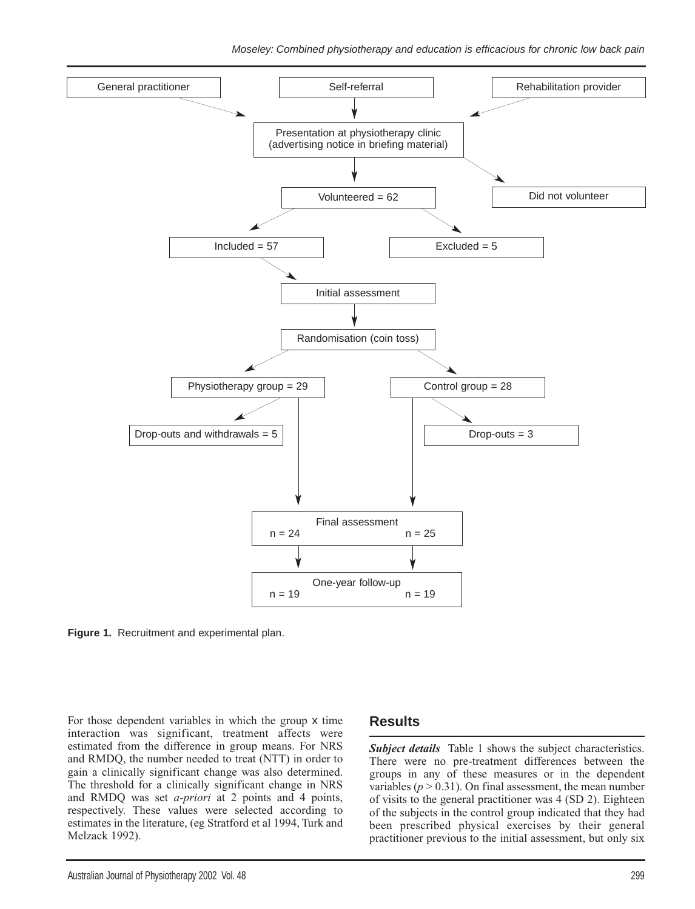Moseley: Combined physiotherapy and education is efficacious for chronic low back pain



**Figure 1.** Recruitment and experimental plan.

For those dependent variables in which the group x time interaction was significant, treatment affects were estimated from the difference in group means. For NRS and RMDQ, the number needed to treat (NTT) in order to gain a clinically significant change was also determined. The threshold for a clinically significant change in NRS and RMDQ was set *a-priori* at 2 points and 4 points, respectively. These values were selected according to estimates in the literature, (eg Stratford et al 1994, Turk and Melzack 1992).

#### **Results**

*Subject details* Table 1 shows the subject characteristics. There were no pre-treatment differences between the groups in any of these measures or in the dependent variables ( $p > 0.31$ ). On final assessment, the mean number of visits to the general practitioner was 4 (SD 2). Eighteen of the subjects in the control group indicated that they had been prescribed physical exercises by their general practitioner previous to the initial assessment, but only six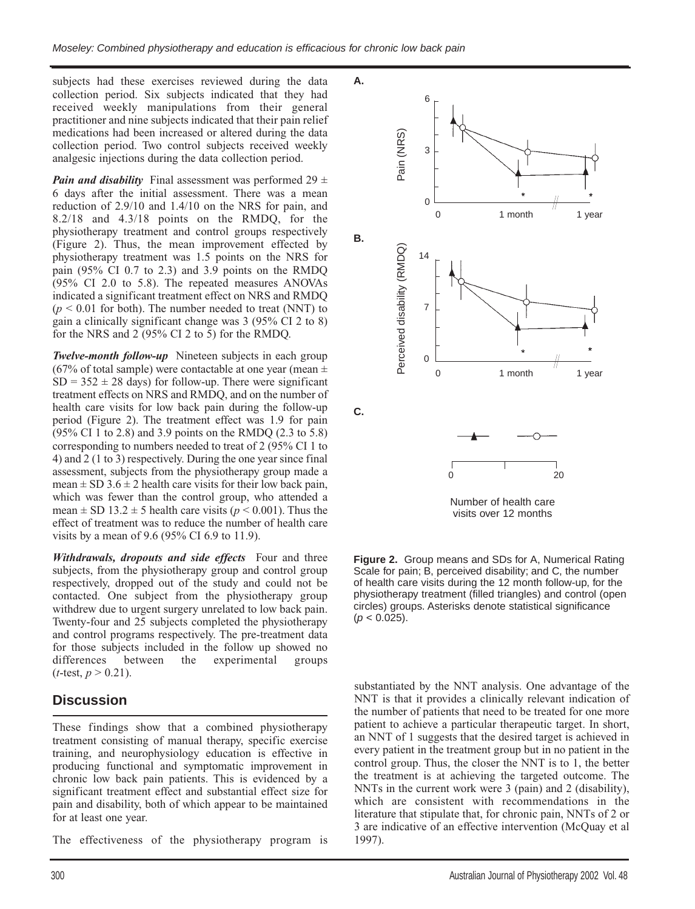subjects had these exercises reviewed during the data collection period. Six subjects indicated that they had received weekly manipulations from their general practitioner and nine subjects indicated that their pain relief medications had been increased or altered during the data collection period. Two control subjects received weekly analgesic injections during the data collection period.

*Pain and disability* Final assessment was performed 29  $\pm$ 6 days after the initial assessment. There was a mean reduction of 2.9/10 and 1.4/10 on the NRS for pain, and 8.2/18 and 4.3/18 points on the RMDQ, for the physiotherapy treatment and control groups respectively (Figure 2). Thus, the mean improvement effected by physiotherapy treatment was 1.5 points on the NRS for pain (95% CI 0.7 to 2.3) and 3.9 points on the RMDQ (95% CI 2.0 to 5.8). The repeated measures ANOVAs indicated a significant treatment effect on NRS and RMDQ  $(p < 0.01$  for both). The number needed to treat (NNT) to gain a clinically significant change was 3 (95% CI 2 to 8) for the NRS and 2 (95% CI 2 to 5) for the RMDQ.

*Twelve-month follow-up* Nineteen subjects in each group (67% of total sample) were contactable at one year (mean  $\pm$  $SD = 352 \pm 28$  days) for follow-up. There were significant treatment effects on NRS and RMDQ, and on the number of health care visits for low back pain during the follow-up period (Figure 2). The treatment effect was 1.9 for pain (95% CI 1 to 2.8) and 3.9 points on the RMDQ (2.3 to 5.8) corresponding to numbers needed to treat of 2 (95% CI 1 to 4) and 2 (1 to 3) respectively. During the one year since final assessment, subjects from the physiotherapy group made a mean  $\pm$  SD 3.6  $\pm$  2 health care visits for their low back pain, which was fewer than the control group, who attended a mean  $\pm$  SD 13.2  $\pm$  5 health care visits ( $p$  < 0.001). Thus the effect of treatment was to reduce the number of health care visits by a mean of 9.6 (95% CI 6.9 to 11.9).

*Withdrawals, dropouts and side effects* Four and three subjects, from the physiotherapy group and control group respectively, dropped out of the study and could not be contacted. One subject from the physiotherapy group withdrew due to urgent surgery unrelated to low back pain. Twenty-four and 25 subjects completed the physiotherapy and control programs respectively. The pre-treatment data for those subjects included in the follow up showed no differences between the experimental groups  $(t$ -test,  $p > 0.21$ ).

# **Discussion**

These findings show that a combined physiotherapy treatment consisting of manual therapy, specific exercise training, and neurophysiology education is effective in producing functional and symptomatic improvement in chronic low back pain patients. This is evidenced by a significant treatment effect and substantial effect size for pain and disability, both of which appear to be maintained for at least one year.

The effectiveness of the physiotherapy program is



**Figure 2.** Group means and SDs for A, Numerical Rating Scale for pain; B, perceived disability; and C, the number of health care visits during the 12 month follow-up, for the physiotherapy treatment (filled triangles) and control (open circles) groups. Asterisks denote statistical significance  $(p < 0.025)$ .

substantiated by the NNT analysis. One advantage of the NNT is that it provides a clinically relevant indication of the number of patients that need to be treated for one more patient to achieve a particular therapeutic target. In short, an NNT of 1 suggests that the desired target is achieved in every patient in the treatment group but in no patient in the control group. Thus, the closer the NNT is to 1, the better the treatment is at achieving the targeted outcome. The NNTs in the current work were 3 (pain) and 2 (disability), which are consistent with recommendations in the literature that stipulate that, for chronic pain, NNTs of 2 or 3 are indicative of an effective intervention (McQuay et al 1997).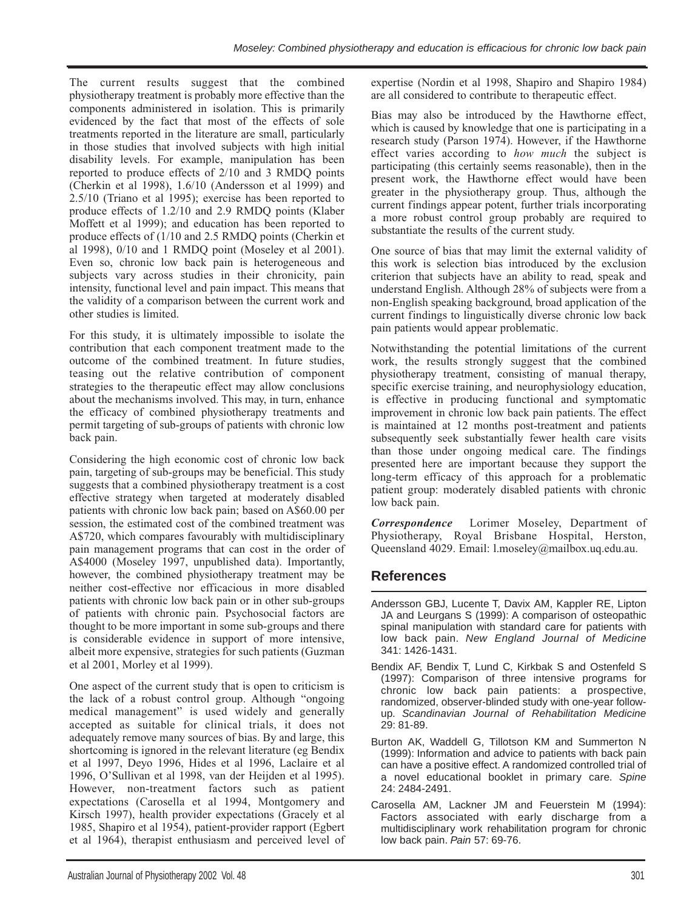The current results suggest that the combined physiotherapy treatment is probably more effective than the components administered in isolation. This is primarily evidenced by the fact that most of the effects of sole treatments reported in the literature are small, particularly in those studies that involved subjects with high initial disability levels. For example, manipulation has been reported to produce effects of 2/10 and 3 RMDQ points (Cherkin et al 1998), 1.6/10 (Andersson et al 1999) and 2.5/10 (Triano et al 1995); exercise has been reported to produce effects of 1.2/10 and 2.9 RMDQ points (Klaber Moffett et al 1999); and education has been reported to produce effects of (1/10 and 2.5 RMDQ points (Cherkin et al 1998), 0/10 and 1 RMDQ point (Moseley et al 2001). Even so, chronic low back pain is heterogeneous and subjects vary across studies in their chronicity, pain intensity, functional level and pain impact. This means that the validity of a comparison between the current work and other studies is limited.

For this study, it is ultimately impossible to isolate the contribution that each component treatment made to the outcome of the combined treatment. In future studies, teasing out the relative contribution of component strategies to the therapeutic effect may allow conclusions about the mechanisms involved. This may, in turn, enhance the efficacy of combined physiotherapy treatments and permit targeting of sub-groups of patients with chronic low back pain.

Considering the high economic cost of chronic low back pain, targeting of sub-groups may be beneficial. This study suggests that a combined physiotherapy treatment is a cost effective strategy when targeted at moderately disabled patients with chronic low back pain; based on A\$60.00 per session, the estimated cost of the combined treatment was A\$720, which compares favourably with multidisciplinary pain management programs that can cost in the order of A\$4000 (Moseley 1997, unpublished data). Importantly, however, the combined physiotherapy treatment may be neither cost-effective nor efficacious in more disabled patients with chronic low back pain or in other sub-groups of patients with chronic pain. Psychosocial factors are thought to be more important in some sub-groups and there is considerable evidence in support of more intensive, albeit more expensive, strategies for such patients (Guzman et al 2001, Morley et al 1999).

One aspect of the current study that is open to criticism is the lack of a robust control group. Although "ongoing medical management" is used widely and generally accepted as suitable for clinical trials, it does not adequately remove many sources of bias. By and large, this shortcoming is ignored in the relevant literature (eg Bendix et al 1997, Deyo 1996, Hides et al 1996, Laclaire et al 1996, O'Sullivan et al 1998, van der Heijden et al 1995). However, non-treatment factors such as patient expectations (Carosella et al 1994, Montgomery and Kirsch 1997), health provider expectations (Gracely et al 1985, Shapiro et al 1954), patient-provider rapport (Egbert et al 1964), therapist enthusiasm and perceived level of expertise (Nordin et al 1998, Shapiro and Shapiro 1984) are all considered to contribute to therapeutic effect.

Bias may also be introduced by the Hawthorne effect, which is caused by knowledge that one is participating in a research study (Parson 1974). However, if the Hawthorne effect varies according to *how much* the subject is participating (this certainly seems reasonable), then in the present work, the Hawthorne effect would have been greater in the physiotherapy group. Thus, although the current findings appear potent, further trials incorporating a more robust control group probably are required to substantiate the results of the current study.

One source of bias that may limit the external validity of this work is selection bias introduced by the exclusion criterion that subjects have an ability to read, speak and understand English. Although 28% of subjects were from a non-English speaking background, broad application of the current findings to linguistically diverse chronic low back pain patients would appear problematic.

Notwithstanding the potential limitations of the current work, the results strongly suggest that the combined physiotherapy treatment, consisting of manual therapy, specific exercise training, and neurophysiology education, is effective in producing functional and symptomatic improvement in chronic low back pain patients. The effect is maintained at 12 months post-treatment and patients subsequently seek substantially fewer health care visits than those under ongoing medical care. The findings presented here are important because they support the long-term efficacy of this approach for a problematic patient group: moderately disabled patients with chronic low back pain.

*Correspondence* Lorimer Moseley, Department of Physiotherapy, Royal Brisbane Hospital, Herston, Queensland 4029. Email: l.moseley@mailbox.uq.edu.au.

# **References**

- Andersson GBJ, Lucente T, Davix AM, Kappler RE, Lipton JA and Leurgans S (1999): A comparison of osteopathic spinal manipulation with standard care for patients with low back pain. New England Journal of Medicine 341: 1426-1431.
- Bendix AF, Bendix T, Lund C, Kirkbak S and Ostenfeld S (1997): Comparison of three intensive programs for chronic low back pain patients: a prospective, randomized, observer-blinded study with one-year followup. Scandinavian Journal of Rehabilitation Medicine 29: 81-89.
- Burton AK, Waddell G, Tillotson KM and Summerton N (1999): Information and advice to patients with back pain can have a positive effect. A randomized controlled trial of a novel educational booklet in primary care. Spine 24: 2484-2491.
- Carosella AM, Lackner JM and Feuerstein M (1994): Factors associated with early discharge from a multidisciplinary work rehabilitation program for chronic low back pain. Pain 57: 69-76.